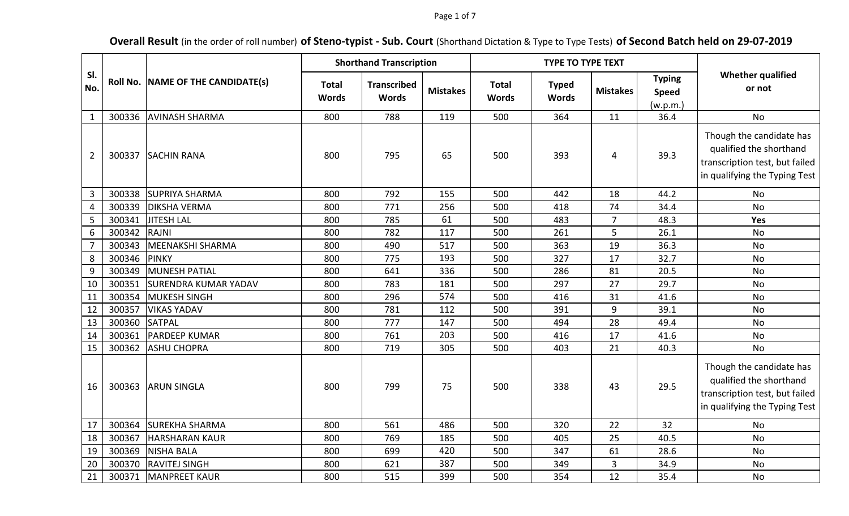### Page 1 of 7

# **Overall Result** (in the order of roll number) **of Steno-typist - Sub. Court** (Shorthand Dictation & Type to Type Tests) **of Second Batch held on 29-07-2019**

|                |        | Roll No. NAME OF THE CANDIDATE(s) | <b>Shorthand Transcription</b> |                                    |                 |                              | <b>TYPE TO TYPE TEXT</b>     |                 |                                           |                                                                                                                        |
|----------------|--------|-----------------------------------|--------------------------------|------------------------------------|-----------------|------------------------------|------------------------------|-----------------|-------------------------------------------|------------------------------------------------------------------------------------------------------------------------|
| SI.<br>No.     |        |                                   | <b>Total</b><br><b>Words</b>   | <b>Transcribed</b><br><b>Words</b> | <b>Mistakes</b> | <b>Total</b><br><b>Words</b> | <b>Typed</b><br><b>Words</b> | <b>Mistakes</b> | <b>Typing</b><br><b>Speed</b><br>(w.p.m.) | <b>Whether qualified</b><br>or not                                                                                     |
| $\mathbf{1}$   | 300336 | <b>AVINASH SHARMA</b>             | 800                            | 788                                | 119             | 500                          | 364                          | 11              | 36.4                                      | <b>No</b>                                                                                                              |
| $\overline{2}$ | 300337 | <b>SACHIN RANA</b>                | 800                            | 795                                | 65              | 500                          | 393                          | 4               | 39.3                                      | Though the candidate has<br>qualified the shorthand<br>transcription test, but failed<br>in qualifying the Typing Test |
| $\overline{3}$ | 300338 | <b>SUPRIYA SHARMA</b>             | 800                            | 792                                | 155             | 500                          | 442                          | 18              | 44.2                                      | No                                                                                                                     |
| 4              | 300339 | <b>DIKSHA VERMA</b>               | 800                            | 771                                | 256             | 500                          | 418                          | 74              | 34.4                                      | <b>No</b>                                                                                                              |
| 5              | 300341 | JITESH LAL                        | 800                            | 785                                | 61              | 500                          | 483                          | $\overline{7}$  | 48.3                                      | Yes                                                                                                                    |
| 6              | 300342 | <b>RAJNI</b>                      | 800                            | 782                                | 117             | 500                          | 261                          | 5               | 26.1                                      | <b>No</b>                                                                                                              |
| $\overline{7}$ | 300343 | MEENAKSHI SHARMA                  | 800                            | 490                                | 517             | 500                          | 363                          | 19              | 36.3                                      | <b>No</b>                                                                                                              |
| 8              | 300346 | <b>PINKY</b>                      | 800                            | 775                                | 193             | 500                          | 327                          | 17              | 32.7                                      | <b>No</b>                                                                                                              |
| 9              | 300349 | MUNESH PATIAL                     | 800                            | 641                                | 336             | 500                          | 286                          | 81              | 20.5                                      | No                                                                                                                     |
| 10             | 300351 | <b>SURENDRA KUMAR YADAV</b>       | 800                            | 783                                | 181             | 500                          | 297                          | 27              | 29.7                                      | No                                                                                                                     |
| 11             | 300354 | MUKESH SINGH                      | 800                            | 296                                | 574             | 500                          | 416                          | 31              | 41.6                                      | <b>No</b>                                                                                                              |
| 12             | 300357 | <b>VIKAS YADAV</b>                | 800                            | 781                                | 112             | 500                          | 391                          | 9               | 39.1                                      | <b>No</b>                                                                                                              |
| 13             | 300360 | <b>SATPAL</b>                     | 800                            | 777                                | 147             | 500                          | 494                          | 28              | 49.4                                      | <b>No</b>                                                                                                              |
| 14             | 300361 | <b>PARDEEP KUMAR</b>              | 800                            | 761                                | 203             | 500                          | 416                          | 17              | 41.6                                      | No                                                                                                                     |
| 15             | 300362 | <b>ASHU CHOPRA</b>                | 800                            | 719                                | 305             | 500                          | 403                          | 21              | 40.3                                      | No                                                                                                                     |
| 16             | 300363 | <b>ARUN SINGLA</b>                | 800                            | 799                                | 75              | 500                          | 338                          | 43              | 29.5                                      | Though the candidate has<br>qualified the shorthand<br>transcription test, but failed<br>in qualifying the Typing Test |
| 17             | 300364 | <b>SUREKHA SHARMA</b>             | 800                            | 561                                | 486             | 500                          | 320                          | 22              | 32                                        | <b>No</b>                                                                                                              |
| 18             | 300367 | <b>HARSHARAN KAUR</b>             | 800                            | 769                                | 185             | 500                          | 405                          | 25              | 40.5                                      | <b>No</b>                                                                                                              |
| 19             | 300369 | <b>NISHA BALA</b>                 | 800                            | 699                                | 420             | 500                          | 347                          | 61              | 28.6                                      | <b>No</b>                                                                                                              |
| 20             | 300370 | <b>RAVITEJ SINGH</b>              | 800                            | 621                                | 387             | 500                          | 349                          | 3               | 34.9                                      | No                                                                                                                     |
| 21             | 300371 | <b>MANPREET KAUR</b>              | 800                            | 515                                | 399             | 500                          | 354                          | 12              | 35.4                                      | No                                                                                                                     |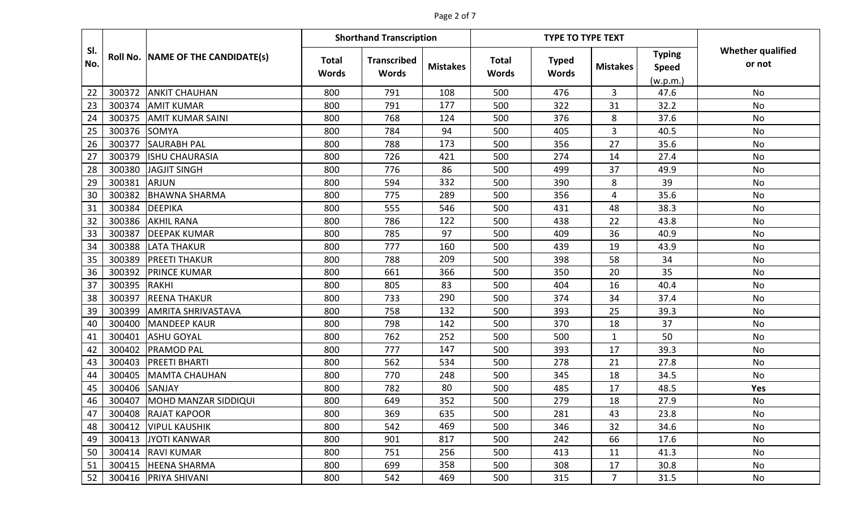# Page 2 of 7

|            |        |                                   | <b>Shorthand Transcription</b> |                                    |                 |                              | <b>TYPE TO TYPE TEXT</b>     |                 |                                           |                                    |
|------------|--------|-----------------------------------|--------------------------------|------------------------------------|-----------------|------------------------------|------------------------------|-----------------|-------------------------------------------|------------------------------------|
| SI.<br>No. |        | Roll No. NAME OF THE CANDIDATE(s) | <b>Total</b><br><b>Words</b>   | <b>Transcribed</b><br><b>Words</b> | <b>Mistakes</b> | <b>Total</b><br><b>Words</b> | <b>Typed</b><br><b>Words</b> | <b>Mistakes</b> | <b>Typing</b><br><b>Speed</b><br>(w.p.m.) | <b>Whether qualified</b><br>or not |
| 22         | 300372 | <b>ANKIT CHAUHAN</b>              | 800                            | 791                                | 108             | 500                          | 476                          | 3               | 47.6                                      | No                                 |
| 23         | 300374 | <b>AMIT KUMAR</b>                 | 800                            | 791                                | 177             | 500                          | 322                          | 31              | 32.2                                      | <b>No</b>                          |
| 24         | 300375 | <b>AMIT KUMAR SAINI</b>           | 800                            | 768                                | 124             | 500                          | 376                          | 8               | 37.6                                      | <b>No</b>                          |
| 25         | 300376 | <b>SOMYA</b>                      | 800                            | 784                                | 94              | 500                          | 405                          | 3               | 40.5                                      | <b>No</b>                          |
| 26         | 300377 | <b>SAURABH PAL</b>                | 800                            | 788                                | 173             | 500                          | 356                          | 27              | 35.6                                      | <b>No</b>                          |
| 27         | 300379 | <b>ISHU CHAURASIA</b>             | 800                            | 726                                | 421             | 500                          | 274                          | 14              | 27.4                                      | <b>No</b>                          |
| 28         | 300380 | JAGJIT SINGH                      | 800                            | 776                                | 86              | 500                          | 499                          | 37              | 49.9                                      | <b>No</b>                          |
| 29         | 300381 | <b>ARJUN</b>                      | 800                            | 594                                | 332             | 500                          | 390                          | 8               | 39                                        | No                                 |
| 30         | 300382 | <b>BHAWNA SHARMA</b>              | 800                            | 775                                | 289             | 500                          | 356                          | 4               | 35.6                                      | <b>No</b>                          |
| 31         | 300384 | <b>DEEPIKA</b>                    | 800                            | 555                                | 546             | 500                          | 431                          | 48              | 38.3                                      | No                                 |
| 32         | 300386 | <b>AKHIL RANA</b>                 | 800                            | 786                                | 122             | 500                          | 438                          | 22              | 43.8                                      | No                                 |
| 33         | 300387 | <b>DEEPAK KUMAR</b>               | 800                            | 785                                | 97              | 500                          | 409                          | 36              | 40.9                                      | No                                 |
| 34         | 300388 | <b>LATA THAKUR</b>                | 800                            | 777                                | 160             | 500                          | 439                          | 19              | 43.9                                      | No                                 |
| 35         | 300389 | <b>PREETI THAKUR</b>              | 800                            | 788                                | 209             | 500                          | 398                          | 58              | 34                                        | No                                 |
| 36         | 300392 | <b>PRINCE KUMAR</b>               | 800                            | 661                                | 366             | 500                          | 350                          | 20              | 35                                        | <b>No</b>                          |
| 37         | 300395 | <b>RAKHI</b>                      | 800                            | 805                                | 83              | 500                          | 404                          | 16              | 40.4                                      | <b>No</b>                          |
| 38         | 300397 | <b>REENA THAKUR</b>               | 800                            | 733                                | 290             | 500                          | 374                          | 34              | 37.4                                      | <b>No</b>                          |
| 39         | 300399 | <b>AMRITA SHRIVASTAVA</b>         | 800                            | 758                                | 132             | 500                          | 393                          | 25              | 39.3                                      | <b>No</b>                          |
| 40         | 300400 | <b>MANDEEP KAUR</b>               | 800                            | 798                                | 142             | 500                          | 370                          | 18              | 37                                        | No                                 |
| 41         | 300401 | <b>ASHU GOYAL</b>                 | 800                            | 762                                | 252             | 500                          | 500                          | $\mathbf{1}$    | 50                                        | <b>No</b>                          |
| 42         | 300402 | <b>PRAMOD PAL</b>                 | 800                            | 777                                | 147             | 500                          | 393                          | 17              | 39.3                                      | No                                 |
| 43         | 300403 | <b>PREETI BHARTI</b>              | 800                            | 562                                | 534             | 500                          | 278                          | 21              | 27.8                                      | <b>No</b>                          |
| 44         | 300405 | <b>MAMTA CHAUHAN</b>              | 800                            | 770                                | 248             | 500                          | 345                          | 18              | 34.5                                      | No                                 |
| 45         | 300406 | <b>SANJAY</b>                     | 800                            | 782                                | 80              | 500                          | 485                          | 17              | 48.5                                      | <b>Yes</b>                         |
| 46         | 300407 | MOHD MANZAR SIDDIQUI              | 800                            | 649                                | 352             | 500                          | 279                          | 18              | 27.9                                      | No                                 |
| 47         |        | 300408 RAJAT KAPOOR               | 800                            | 369                                | 635             | 500                          | 281                          | 43              | 23.8                                      | No                                 |
| 48         | 300412 | <b>VIPUL KAUSHIK</b>              | 800                            | 542                                | 469             | 500                          | 346                          | 32              | 34.6                                      | No                                 |
| 49         | 300413 | JYOTI KANWAR                      | 800                            | 901                                | 817             | 500                          | 242                          | 66              | 17.6                                      | No                                 |
| 50         | 300414 | <b>RAVI KUMAR</b>                 | 800                            | 751                                | 256             | 500                          | 413                          | 11              | 41.3                                      | No                                 |
| 51         | 300415 | <b>HEENA SHARMA</b>               | 800                            | 699                                | 358             | 500                          | 308                          | 17              | 30.8                                      | No                                 |
| 52         |        | 300416 PRIYA SHIVANI              | 800                            | 542                                | 469             | 500                          | 315                          | 7 <sup>7</sup>  | 31.5                                      | No                                 |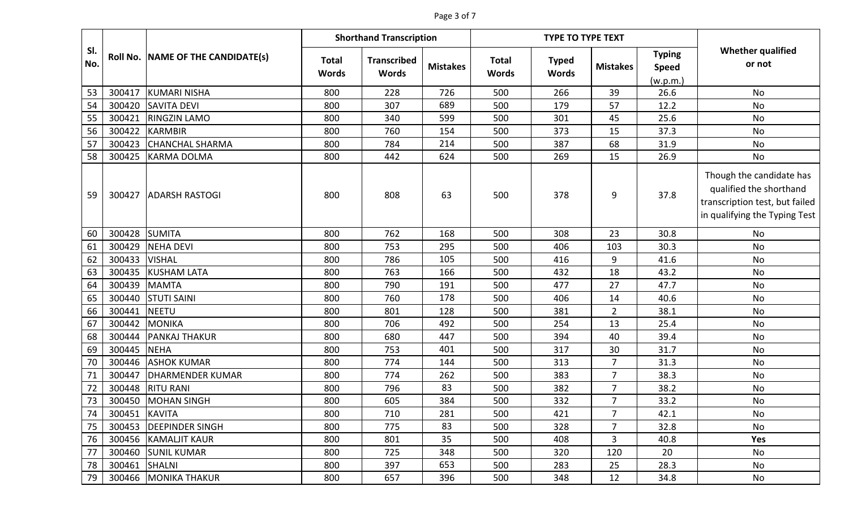#### Page 3 of 7

|            |               |                                   | <b>Shorthand Transcription</b> |                                    |                 |                              | <b>TYPE TO TYPE TEXT</b>     |                 |                                          |                                                                                                                        |
|------------|---------------|-----------------------------------|--------------------------------|------------------------------------|-----------------|------------------------------|------------------------------|-----------------|------------------------------------------|------------------------------------------------------------------------------------------------------------------------|
| SI.<br>No. |               | Roll No. NAME OF THE CANDIDATE(s) | <b>Total</b><br><b>Words</b>   | <b>Transcribed</b><br><b>Words</b> | <b>Mistakes</b> | <b>Total</b><br><b>Words</b> | <b>Typed</b><br><b>Words</b> | <b>Mistakes</b> | <b>Typing</b><br><b>Speed</b><br>(w.p.m. | <b>Whether qualified</b><br>or not                                                                                     |
| 53         | 300417        | KUMARI NISHA                      | 800                            | 228                                | 726             | 500                          | 266                          | 39              | 26.6                                     | No                                                                                                                     |
| 54         | 300420        | <b>SAVITA DEVI</b>                | 800                            | 307                                | 689             | 500                          | 179                          | 57              | 12.2                                     | No                                                                                                                     |
| 55         | 300421        | <b>RINGZIN LAMO</b>               | 800                            | 340                                | 599             | 500                          | 301                          | 45              | 25.6                                     | No                                                                                                                     |
| 56         | 300422        | <b>KARMBIR</b>                    | 800                            | 760                                | 154             | 500                          | 373                          | 15              | 37.3                                     | No                                                                                                                     |
| 57         | 300423        | <b>CHANCHAL SHARMA</b>            | 800                            | 784                                | 214             | 500                          | 387                          | 68              | 31.9                                     | No                                                                                                                     |
| 58         | 300425        | <b>KARMA DOLMA</b>                | 800                            | 442                                | 624             | 500                          | 269                          | 15              | 26.9                                     | No                                                                                                                     |
| 59         | 300427        | <b>ADARSH RASTOGI</b>             | 800                            | 808                                | 63              | 500                          | 378                          | 9               | 37.8                                     | Though the candidate has<br>qualified the shorthand<br>transcription test, but failed<br>in qualifying the Typing Test |
| 60         | 300428        | <b>SUMITA</b>                     | 800                            | 762                                | 168             | 500                          | 308                          | 23              | 30.8                                     | No                                                                                                                     |
| 61         | 300429        | <b>NEHA DEVI</b>                  | 800                            | 753                                | 295             | 500                          | 406                          | 103             | 30.3                                     | No                                                                                                                     |
| 62         | 300433        | <b>VISHAL</b>                     | 800                            | 786                                | 105             | 500                          | 416                          | 9               | 41.6                                     | No                                                                                                                     |
| 63         | 300435        | <b>KUSHAM LATA</b>                | 800                            | 763                                | 166             | 500                          | 432                          | 18              | 43.2                                     | No                                                                                                                     |
| 64         | 300439        | <b>MAMTA</b>                      | 800                            | 790                                | 191             | 500                          | 477                          | 27              | 47.7                                     | No                                                                                                                     |
| 65         | 300440        | <b>STUTI SAINI</b>                | 800                            | 760                                | 178             | 500                          | 406                          | 14              | 40.6                                     | No                                                                                                                     |
| 66         | 300441        | <b>NEETU</b>                      | 800                            | 801                                | 128             | 500                          | 381                          | $\overline{2}$  | 38.1                                     | <b>No</b>                                                                                                              |
| 67         | 300442        | <b>MONIKA</b>                     | 800                            | 706                                | 492             | 500                          | 254                          | 13              | 25.4                                     | No                                                                                                                     |
| 68         | 300444        | <b>PANKAJ THAKUR</b>              | 800                            | 680                                | 447             | 500                          | 394                          | 40              | 39.4                                     | <b>No</b>                                                                                                              |
| 69         | 300445        | <b>NEHA</b>                       | 800                            | 753                                | 401             | 500                          | 317                          | 30              | 31.7                                     | No                                                                                                                     |
| 70         | 300446        | <b>ASHOK KUMAR</b>                | 800                            | 774                                | 144             | 500                          | 313                          | $\overline{7}$  | 31.3                                     | No                                                                                                                     |
| 71         | 300447        | DHARMENDER KUMAR                  | 800                            | 774                                | 262             | 500                          | 383                          | 7               | 38.3                                     | No                                                                                                                     |
| 72         | 300448        | <b>RITU RANI</b>                  | 800                            | 796                                | 83              | 500                          | 382                          | $\overline{7}$  | 38.2                                     | No                                                                                                                     |
| 73         | 300450        | <b>MOHAN SINGH</b>                | 800                            | 605                                | 384             | 500                          | 332                          | 7               | 33.2                                     | No                                                                                                                     |
| 74         | 300451 KAVITA |                                   | 800                            | 710                                | 281             | 500                          | 421                          | $\overline{7}$  | 42.1                                     | No                                                                                                                     |
| 75         | 300453        | <b>DEEPINDER SINGH</b>            | 800                            | 775                                | 83              | 500                          | 328                          | 7               | 32.8                                     | No                                                                                                                     |
| 76         | 300456        | <b>KAMALJIT KAUR</b>              | 800                            | 801                                | 35              | 500                          | 408                          | 3               | 40.8                                     | Yes                                                                                                                    |
| 77         | 300460        | <b>SUNIL KUMAR</b>                | 800                            | 725                                | 348             | 500                          | 320                          | 120             | 20                                       | No                                                                                                                     |
| 78         | 300461        | <b>SHALNI</b>                     | 800                            | 397                                | 653             | 500                          | 283                          | 25              | 28.3                                     | No                                                                                                                     |
| 79         | 300466        | <b>MONIKA THAKUR</b>              | 800                            | 657                                | 396             | 500                          | 348                          | 12              | 34.8                                     | No                                                                                                                     |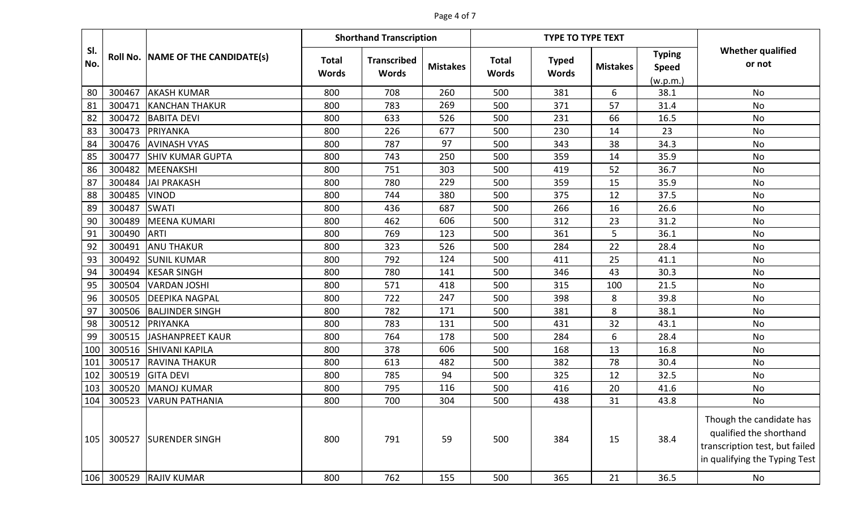#### Page 4 of 7

|                 |        |                                   | <b>Shorthand Transcription</b><br><b>TYPE TO TYPE TEXT</b> |                                    |                 |                              |                              |                 |                                           |                                                                                                                        |
|-----------------|--------|-----------------------------------|------------------------------------------------------------|------------------------------------|-----------------|------------------------------|------------------------------|-----------------|-------------------------------------------|------------------------------------------------------------------------------------------------------------------------|
| SI.<br>No.      |        | Roll No. NAME OF THE CANDIDATE(s) | <b>Total</b><br><b>Words</b>                               | <b>Transcribed</b><br><b>Words</b> | <b>Mistakes</b> | <b>Total</b><br><b>Words</b> | <b>Typed</b><br><b>Words</b> | <b>Mistakes</b> | <b>Typing</b><br><b>Speed</b><br>(w.p.m.) | <b>Whether qualified</b><br>or not                                                                                     |
| 80              | 300467 | <b>AKASH KUMAR</b>                | 800                                                        | 708                                | 260             | 500                          | 381                          | 6               | 38.1                                      | No                                                                                                                     |
| 81              | 300471 | <b>KANCHAN THAKUR</b>             | 800                                                        | 783                                | 269             | 500                          | 371                          | 57              | 31.4                                      | No                                                                                                                     |
| 82              | 300472 | <b>BABITA DEVI</b>                | 800                                                        | 633                                | 526             | 500                          | 231                          | 66              | 16.5                                      | No                                                                                                                     |
| 83              | 300473 | PRIYANKA                          | 800                                                        | 226                                | 677             | 500                          | 230                          | 14              | 23                                        | No                                                                                                                     |
| 84              | 300476 | <b>AVINASH VYAS</b>               | 800                                                        | 787                                | 97              | 500                          | 343                          | 38              | 34.3                                      | No                                                                                                                     |
| 85              | 300477 | <b>SHIV KUMAR GUPTA</b>           | 800                                                        | 743                                | 250             | 500                          | 359                          | 14              | 35.9                                      | <b>No</b>                                                                                                              |
| 86              | 300482 | MEENAKSHI                         | 800                                                        | 751                                | 303             | 500                          | 419                          | 52              | 36.7                                      | <b>No</b>                                                                                                              |
| 87              | 300484 | <b>JAI PRAKASH</b>                | 800                                                        | 780                                | 229             | 500                          | 359                          | 15              | 35.9                                      | <b>No</b>                                                                                                              |
| 88              | 300485 | <b>VINOD</b>                      | 800                                                        | 744                                | 380             | 500                          | 375                          | 12              | 37.5                                      | No                                                                                                                     |
| 89              | 300487 | <b>SWATI</b>                      | 800                                                        | 436                                | 687             | 500                          | 266                          | 16              | 26.6                                      | No                                                                                                                     |
| 90              | 300489 | <b>MEENA KUMARI</b>               | 800                                                        | 462                                | 606             | 500                          | 312                          | 23              | 31.2                                      | <b>No</b>                                                                                                              |
| 91              | 300490 | <b>ARTI</b>                       | 800                                                        | 769                                | 123             | 500                          | 361                          | 5               | 36.1                                      | No                                                                                                                     |
| 92              | 300491 | <b>ANU THAKUR</b>                 | 800                                                        | 323                                | 526             | 500                          | 284                          | 22              | 28.4                                      | No                                                                                                                     |
| 93              | 300492 | <b>SUNIL KUMAR</b>                | 800                                                        | 792                                | 124             | 500                          | 411                          | 25              | 41.1                                      | No                                                                                                                     |
| 94              | 300494 | <b>KESAR SINGH</b>                | 800                                                        | 780                                | 141             | 500                          | 346                          | 43              | 30.3                                      | No                                                                                                                     |
| 95              | 300504 | <b>VARDAN JOSHI</b>               | 800                                                        | 571                                | 418             | 500                          | 315                          | 100             | 21.5                                      | No                                                                                                                     |
| 96              | 300505 | <b>DEEPIKA NAGPAL</b>             | 800                                                        | 722                                | 247             | 500                          | 398                          | 8               | 39.8                                      | No                                                                                                                     |
| 97              | 300506 | <b>BALJINDER SINGH</b>            | 800                                                        | 782                                | 171             | 500                          | 381                          | 8               | 38.1                                      | <b>No</b>                                                                                                              |
| 98              | 300512 | PRIYANKA                          | 800                                                        | 783                                | 131             | 500                          | 431                          | 32              | 43.1                                      | No                                                                                                                     |
| 99              | 300515 | <b>JASHANPREET KAUR</b>           | 800                                                        | 764                                | 178             | 500                          | 284                          | 6               | 28.4                                      | <b>No</b>                                                                                                              |
| 10 <sub>C</sub> | 300516 | <b>SHIVANI KAPILA</b>             | 800                                                        | 378                                | 606             | 500                          | 168                          | 13              | 16.8                                      | No                                                                                                                     |
| 101             | 300517 | <b>RAVINA THAKUR</b>              | 800                                                        | 613                                | 482             | 500                          | 382                          | 78              | 30.4                                      | <b>No</b>                                                                                                              |
| 102             | 300519 | <b>GITA DEVI</b>                  | 800                                                        | 785                                | 94              | 500                          | 325                          | 12              | 32.5                                      | No                                                                                                                     |
| 103             | 300520 | <b>MANOJ KUMAR</b>                | 800                                                        | 795                                | 116             | 500                          | 416                          | 20              | 41.6                                      | No                                                                                                                     |
| 104             | 300523 | <b>VARUN PATHANIA</b>             | 800                                                        | 700                                | 304             | 500                          | 438                          | 31              | 43.8                                      | No                                                                                                                     |
| 105             | 300527 | <b>SURENDER SINGH</b>             | 800                                                        | 791                                | 59              | 500                          | 384                          | 15              | 38.4                                      | Though the candidate has<br>qualified the shorthand<br>transcription test, but failed<br>in qualifying the Typing Test |
| 106             | 300529 | <b>RAJIV KUMAR</b>                | 800                                                        | 762                                | 155             | 500                          | 365                          | 21              | 36.5                                      | No                                                                                                                     |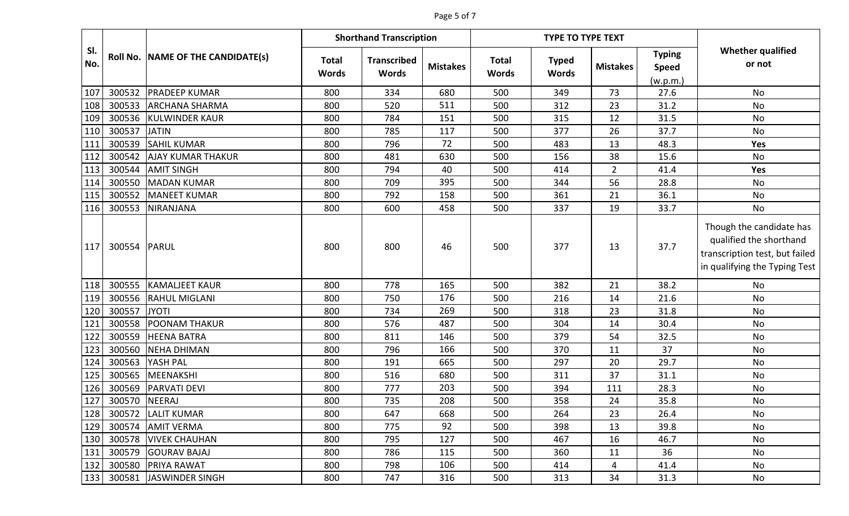### Page 5 of 7

|            |        |                                   |                              | <b>Shorthand Transcription</b>     |                 |                              | <b>TYPE TO TYPE TEXT</b>     |                 |                                           |                                                                                                                        |
|------------|--------|-----------------------------------|------------------------------|------------------------------------|-----------------|------------------------------|------------------------------|-----------------|-------------------------------------------|------------------------------------------------------------------------------------------------------------------------|
| SI.<br>No. |        | Roll No. NAME OF THE CANDIDATE(s) | <b>Total</b><br><b>Words</b> | <b>Transcribed</b><br><b>Words</b> | <b>Mistakes</b> | <b>Total</b><br><b>Words</b> | <b>Typed</b><br><b>Words</b> | <b>Mistakes</b> | <b>Typing</b><br><b>Speed</b><br>(w.p.m.) | <b>Whether qualified</b><br>or not                                                                                     |
| 107        | 300532 | <b>PRADEEP KUMAR</b>              | 800                          | 334                                | 680             | 500                          | 349                          | 73              | 27.6                                      | No                                                                                                                     |
| 108        | 300533 | <b>ARCHANA SHARMA</b>             | 800                          | 520                                | 511             | 500                          | 312                          | 23              | 31.2                                      | <b>No</b>                                                                                                              |
| 109        | 300536 | <b>KULWINDER KAUR</b>             | 800                          | 784                                | 151             | 500                          | 315                          | 12              | 31.5                                      | No                                                                                                                     |
| 110        | 300537 | <b>JATIN</b>                      | 800                          | 785                                | 117             | 500                          | 377                          | 26              | 37.7                                      | <b>No</b>                                                                                                              |
| 111        | 300539 | <b>SAHIL KUMAR</b>                | 800                          | 796                                | 72              | 500                          | 483                          | 13              | 48.3                                      | Yes                                                                                                                    |
| 112        | 300542 | <b>AJAY KUMAR THAKUR</b>          | 800                          | 481                                | 630             | 500                          | 156                          | 38              | 15.6                                      | <b>No</b>                                                                                                              |
| 113        | 300544 | <b>AMIT SINGH</b>                 | 800                          | 794                                | 40              | 500                          | 414                          | $\overline{2}$  | 41.4                                      | Yes                                                                                                                    |
| 114        | 300550 | <b>MADAN KUMAR</b>                | 800                          | 709                                | 395             | 500                          | 344                          | 56              | 28.8                                      | No                                                                                                                     |
| 115        | 300552 | <b>MANEET KUMAR</b>               | 800                          | 792                                | 158             | 500                          | 361                          | 21              | 36.1                                      | No                                                                                                                     |
| 116        | 300553 | <b>NIRANJANA</b>                  | 800                          | 600                                | 458             | 500                          | 337                          | 19              | 33.7                                      | No                                                                                                                     |
| 117        | 300554 | PARUL                             | 800                          | 800                                | 46              | 500                          | 377                          | 13              | 37.7                                      | Though the candidate has<br>qualified the shorthand<br>transcription test, but failed<br>in qualifying the Typing Test |
| 118        | 300555 | <b>KAMALJEET KAUR</b>             | 800                          | 778                                | 165             | 500                          | 382                          | 21              | 38.2                                      | <b>No</b>                                                                                                              |
| 119        | 300556 | <b>RAHUL MIGLANI</b>              | 800                          | 750                                | 176             | 500                          | 216                          | 14              | 21.6                                      | <b>No</b>                                                                                                              |
| 120        | 300557 | <b>JYOTI</b>                      | 800                          | 734                                | 269             | 500                          | 318                          | 23              | 31.8                                      | No                                                                                                                     |
| 121        | 300558 | <b>POONAM THAKUR</b>              | 800                          | 576                                | 487             | 500                          | 304                          | 14              | 30.4                                      | No                                                                                                                     |
| 122        | 300559 | <b>HEENA BATRA</b>                | 800                          | 811                                | 146             | 500                          | 379                          | 54              | 32.5                                      | No                                                                                                                     |
| 123        | 300560 | <b>NEHA DHIMAN</b>                | 800                          | 796                                | 166             | 500                          | 370                          | 11              | 37                                        | No                                                                                                                     |
| 124        | 300563 | YASH PAL                          | 800                          | 191                                | 665             | 500                          | 297                          | 20              | 29.7                                      | No                                                                                                                     |
| 125        | 300565 | MEENAKSHI                         | 800                          | 516                                | 680             | 500                          | 311                          | 37              | 31.1                                      | No                                                                                                                     |
| 126        | 300569 | <b>PARVATI DEVI</b>               | 800                          | 777                                | 203             | 500                          | 394                          | 111             | 28.3                                      | No                                                                                                                     |
| 127        | 300570 | NEERAJ                            | 800                          | 735                                | 208             | 500                          | 358                          | 24              | 35.8                                      | No                                                                                                                     |
| 128        |        | 300572 LALIT KUMAR                | 800                          | 647                                | 668             | 500                          | 264                          | 23              | 26.4                                      | No                                                                                                                     |
| 129        | 300574 | <b>AMIT VERMA</b>                 | 800                          | 775                                | 92              | 500                          | 398                          | 13              | 39.8                                      | No                                                                                                                     |
| 130        | 300578 | <b>VIVEK CHAUHAN</b>              | 800                          | 795                                | 127             | 500                          | 467                          | 16              | 46.7                                      | No                                                                                                                     |
| 131        | 300579 | <b>GOURAV BAJAJ</b>               | 800                          | 786                                | 115             | 500                          | 360                          | 11              | 36                                        | No                                                                                                                     |
| 132        | 300580 | <b>PRIYA RAWAT</b>                | 800                          | 798                                | 106             | 500                          | 414                          | 4               | 41.4                                      | No                                                                                                                     |
| 133        | 300581 | JASWINDER SINGH                   | 800                          | 747                                | 316             | 500                          | 313                          | 34              | 31.3                                      | No                                                                                                                     |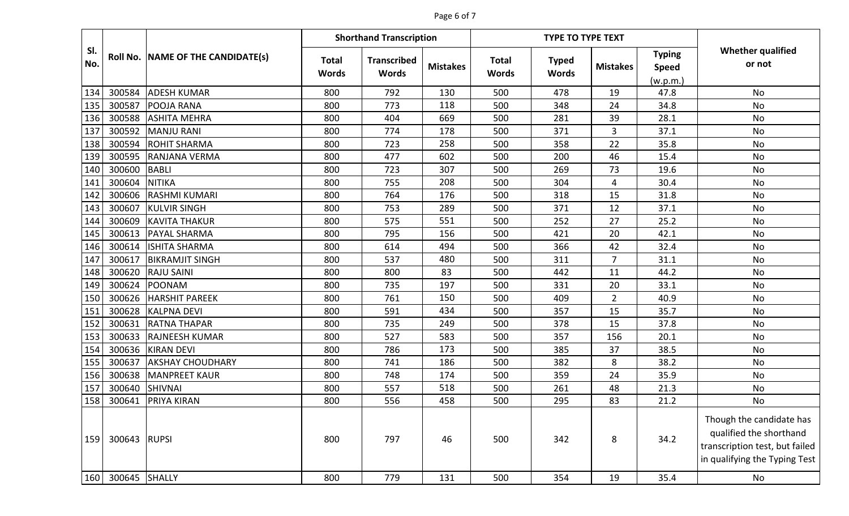#### Page 6 of 7

|            |               |                                   |                              | <b>Shorthand Transcription</b>     |                 |                              | <b>TYPE TO TYPE TEXT</b>     |                 |                                           |                                                                                                                        |
|------------|---------------|-----------------------------------|------------------------------|------------------------------------|-----------------|------------------------------|------------------------------|-----------------|-------------------------------------------|------------------------------------------------------------------------------------------------------------------------|
| SI.<br>No. |               | Roll No. NAME OF THE CANDIDATE(s) | <b>Total</b><br><b>Words</b> | <b>Transcribed</b><br><b>Words</b> | <b>Mistakes</b> | <b>Total</b><br><b>Words</b> | <b>Typed</b><br><b>Words</b> | <b>Mistakes</b> | <b>Typing</b><br><b>Speed</b><br>(w.p.m.) | <b>Whether qualified</b><br>or not                                                                                     |
| 134        | 300584        | <b>ADESH KUMAR</b>                | 800                          | 792                                | 130             | 500                          | 478                          | 19              | 47.8                                      | No                                                                                                                     |
| 135        | 300587        | <b>POOJA RANA</b>                 | 800                          | 773                                | 118             | 500                          | 348                          | 24              | 34.8                                      | No                                                                                                                     |
| 136        | 300588        | <b>ASHITA MEHRA</b>               | 800                          | 404                                | 669             | 500                          | 281                          | 39              | 28.1                                      | No                                                                                                                     |
| 137        | 300592        | MANJU RANI                        | 800                          | 774                                | 178             | 500                          | 371                          | 3               | 37.1                                      | No                                                                                                                     |
| 138        | 300594        | <b>ROHIT SHARMA</b>               | 800                          | 723                                | 258             | 500                          | 358                          | 22              | 35.8                                      | No                                                                                                                     |
| 139        | 300595        | <b>RANJANA VERMA</b>              | 800                          | 477                                | 602             | 500                          | 200                          | 46              | 15.4                                      | <b>No</b>                                                                                                              |
| 140        | 300600        | <b>BABLI</b>                      | 800                          | 723                                | 307             | 500                          | 269                          | 73              | 19.6                                      | No                                                                                                                     |
| 141        | 300604        | <b>NITIKA</b>                     | 800                          | 755                                | 208             | 500                          | 304                          | 4               | 30.4                                      | No                                                                                                                     |
| 142        | 300606        | <b>RASHMI KUMARI</b>              | 800                          | 764                                | 176             | 500                          | 318                          | 15              | 31.8                                      | No                                                                                                                     |
| 143        | 300607        | <b>KULVIR SINGH</b>               | 800                          | 753                                | 289             | 500                          | 371                          | 12              | 37.1                                      | No                                                                                                                     |
| 144        | 300609        | <b>KAVITA THAKUR</b>              | 800                          | 575                                | 551             | 500                          | 252                          | 27              | 25.2                                      | <b>No</b>                                                                                                              |
| 145        | 300613        | <b>PAYAL SHARMA</b>               | 800                          | 795                                | 156             | 500                          | 421                          | 20              | 42.1                                      | No                                                                                                                     |
| 146        | 300614        | <b>ISHITA SHARMA</b>              | 800                          | 614                                | 494             | 500                          | 366                          | 42              | 32.4                                      | No                                                                                                                     |
| 147        | 300617        | <b>BIKRAMJIT SINGH</b>            | 800                          | 537                                | 480             | 500                          | 311                          | 7               | 31.1                                      | No                                                                                                                     |
| 148        | 300620        | <b>RAJU SAINI</b>                 | 800                          | 800                                | 83              | 500                          | 442                          | 11              | 44.2                                      | No                                                                                                                     |
| 149        | 300624        | <b>POONAM</b>                     | 800                          | 735                                | 197             | 500                          | 331                          | 20              | 33.1                                      | No                                                                                                                     |
| 150        | 300626        | <b>HARSHIT PAREEK</b>             | 800                          | 761                                | 150             | 500                          | 409                          | $\overline{2}$  | 40.9                                      | No                                                                                                                     |
| 151        | 300628        | <b>KALPNA DEVI</b>                | 800                          | 591                                | 434             | 500                          | 357                          | 15              | 35.7                                      | <b>No</b>                                                                                                              |
| 152        | 300631        | <b>RATNA THAPAR</b>               | 800                          | 735                                | 249             | 500                          | 378                          | 15              | 37.8                                      | No                                                                                                                     |
| 153        | 300633        | <b>RAJNEESH KUMAR</b>             | 800                          | 527                                | 583             | 500                          | 357                          | 156             | 20.1                                      | <b>No</b>                                                                                                              |
| 154        | 300636        | <b>KIRAN DEVI</b>                 | 800                          | 786                                | 173             | 500                          | 385                          | 37              | 38.5                                      | <b>No</b>                                                                                                              |
| 155        | 300637        | <b>AKSHAY CHOUDHARY</b>           | 800                          | 741                                | 186             | 500                          | 382                          | 8               | 38.2                                      | <b>No</b>                                                                                                              |
| 156        | 300638        | <b>MANPREET KAUR</b>              | 800                          | 748                                | 174             | 500                          | 359                          | 24              | 35.9                                      | No                                                                                                                     |
| 157        | 300640        | <b>SHIVNAI</b>                    | 800                          | 557                                | 518             | 500                          | 261                          | 48              | 21.3                                      | No                                                                                                                     |
| 158        | 300641        | <b>PRIYA KIRAN</b>                | 800                          | 556                                | 458             | 500                          | 295                          | 83              | 21.2                                      | No                                                                                                                     |
| 159        | 300643 RUPSI  |                                   | 800                          | 797                                | 46              | 500                          | 342                          | 8               | 34.2                                      | Though the candidate has<br>qualified the shorthand<br>transcription test, but failed<br>in qualifying the Typing Test |
| 160        | 300645 SHALLY |                                   | 800                          | 779                                | 131             | 500                          | 354                          | 19              | 35.4                                      | No                                                                                                                     |